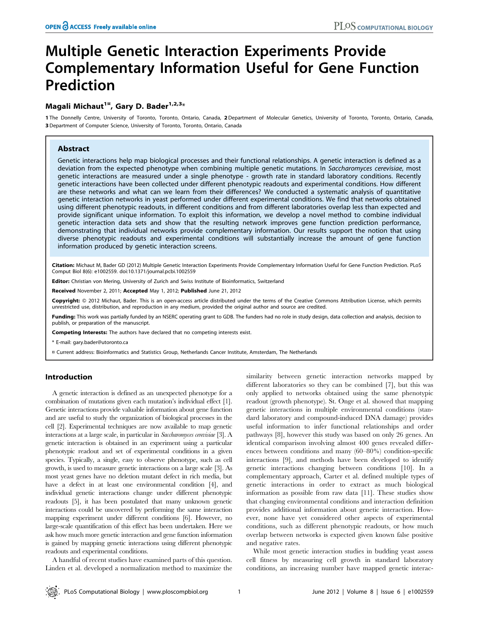# Multiple Genetic Interaction Experiments Provide Complementary Information Useful for Gene Function Prediction

## Magali Michaut<sup>1¤</sup>, Gary D. Bader<sup>1,2,3</sup>\*

1 The Donnelly Centre, University of Toronto, Toronto, Ontario, Canada, 2 Department of Molecular Genetics, University of Toronto, Toronto, Ontario, Canada, 3 Department of Computer Science, University of Toronto, Toronto, Ontario, Canada

## Abstract

Genetic interactions help map biological processes and their functional relationships. A genetic interaction is defined as a deviation from the expected phenotype when combining multiple genetic mutations. In Saccharomyces cerevisiae, most genetic interactions are measured under a single phenotype - growth rate in standard laboratory conditions. Recently genetic interactions have been collected under different phenotypic readouts and experimental conditions. How different are these networks and what can we learn from their differences? We conducted a systematic analysis of quantitative genetic interaction networks in yeast performed under different experimental conditions. We find that networks obtained using different phenotypic readouts, in different conditions and from different laboratories overlap less than expected and provide significant unique information. To exploit this information, we develop a novel method to combine individual genetic interaction data sets and show that the resulting network improves gene function prediction performance, demonstrating that individual networks provide complementary information. Our results support the notion that using diverse phenotypic readouts and experimental conditions will substantially increase the amount of gene function information produced by genetic interaction screens.

Citation: Michaut M, Bader GD (2012) Multiple Genetic Interaction Experiments Provide Complementary Information Useful for Gene Function Prediction. PLoS Comput Biol 8(6): e1002559. doi:10.1371/journal.pcbi.1002559

Editor: Christian von Mering, University of Zurich and Swiss Institute of Bioinformatics, Switzerland

Received November 2, 2011; Accepted May 1, 2012; Published June 21, 2012

**Copyright:** © 2012 Michaut, Bader. This is an open-access article distributed under the terms of the Creative Commons Attribution License, which permits unrestricted use, distribution, and reproduction in any medium, provided the original author and source are credited.

Funding: This work was partially funded by an NSERC operating grant to GDB. The funders had no role in study design, data collection and analysis, decision to publish, or preparation of the manuscript.

Competing Interests: The authors have declared that no competing interests exist.

\* E-mail: gary.bader@utoronto.ca

¤ Current address: Bioinformatics and Statistics Group, Netherlands Cancer Institute, Amsterdam, The Netherlands

## Introduction

A genetic interaction is defined as an unexpected phenotype for a combination of mutations given each mutation's individual effect [1]. Genetic interactions provide valuable information about gene function and are useful to study the organization of biological processes in the cell [2]. Experimental techniques are now available to map genetic interactions at a large scale, in particular in Saccharomyces cerevisiae [3]. A genetic interaction is obtained in an experiment using a particular phenotypic readout and set of experimental conditions in a given species. Typically, a single, easy to observe phenotype, such as cell growth, is used to measure genetic interactions on a large scale [3]. As most yeast genes have no deletion mutant defect in rich media, but have a defect in at least one environmental condition [4], and individual genetic interactions change under different phenotypic readouts [5], it has been postulated that many unknown genetic interactions could be uncovered by performing the same interaction mapping experiment under different conditions [6]. However, no large-scale quantification of this effect has been undertaken. Here we ask how much more genetic interaction and gene function information is gained by mapping genetic interactions using different phenotypic readouts and experimental conditions.

A handful of recent studies have examined parts of this question. Linden et al. developed a normalization method to maximize the similarity between genetic interaction networks mapped by different laboratories so they can be combined [7], but this was only applied to networks obtained using the same phenotypic readout (growth phenotype). St. Onge et al. showed that mapping genetic interactions in multiple environmental conditions (standard laboratory and compound-induced DNA damage) provides useful information to infer functional relationships and order pathways [8], however this study was based on only 26 genes. An identical comparison involving almost 400 genes revealed differences between conditions and many (60–80%) condition-specific interactions [9], and methods have been developed to identify genetic interactions changing between conditions [10]. In a complementary approach, Carter et al. defined multiple types of genetic interactions in order to extract as much biological information as possible from raw data [11]. These studies show that changing environmental conditions and interaction definition provides additional information about genetic interaction. However, none have yet considered other aspects of experimental conditions, such as different phenotypic readouts, or how much overlap between networks is expected given known false positive and negative rates.

While most genetic interaction studies in budding yeast assess cell fitness by measuring cell growth in standard laboratory conditions, an increasing number have mapped genetic interac-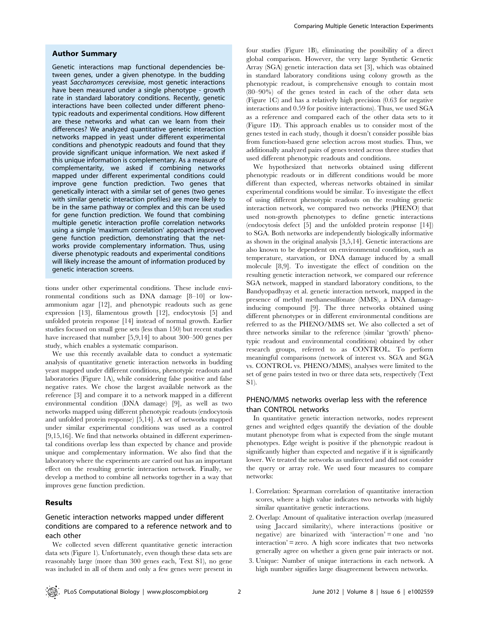#### Author Summary

Genetic interactions map functional dependencies between genes, under a given phenotype. In the budding yeast Saccharomyces cerevisiae, most genetic interactions have been measured under a single phenotype - growth rate in standard laboratory conditions. Recently, genetic interactions have been collected under different phenotypic readouts and experimental conditions. How different are these networks and what can we learn from their differences? We analyzed quantitative genetic interaction networks mapped in yeast under different experimental conditions and phenotypic readouts and found that they provide significant unique information. We next asked if this unique information is complementary. As a measure of complementarity, we asked if combining networks mapped under different experimental conditions could improve gene function prediction. Two genes that genetically interact with a similar set of genes (two genes with similar genetic interaction profiles) are more likely to be in the same pathway or complex and this can be used for gene function prediction. We found that combining multiple genetic interaction profile correlation networks using a simple 'maximum correlation' approach improved gene function prediction, demonstrating that the networks provide complementary information. Thus, using diverse phenotypic readouts and experimental conditions will likely increase the amount of information produced by genetic interaction screens.

tions under other experimental conditions. These include environmental conditions such as DNA damage [8–10] or lowammonium agar [12], and phenotypic readouts such as gene expression [13], filamentous growth [12], endocytosis [5] and unfolded protein response [14] instead of normal growth. Earlier studies focused on small gene sets (less than 150) but recent studies have increased that number [5,9,14] to about 300–500 genes per study, which enables a systematic comparison.

We use this recently available data to conduct a systematic analysis of quantitative genetic interaction networks in budding yeast mapped under different conditions, phenotypic readouts and laboratories (Figure 1A), while considering false positive and false negative rates. We chose the largest available network as the reference [3] and compare it to a network mapped in a different environmental condition (DNA damage) [9], as well as two networks mapped using different phenotypic readouts (endocytosis and unfolded protein response) [5,14]. A set of networks mapped under similar experimental conditions was used as a control [9,15,16]. We find that networks obtained in different experimental conditions overlap less than expected by chance and provide unique and complementary information. We also find that the laboratory where the experiments are carried out has an important effect on the resulting genetic interaction network. Finally, we develop a method to combine all networks together in a way that improves gene function prediction.

### Results

## Genetic interaction networks mapped under different conditions are compared to a reference network and to each other

We collected seven different quantitative genetic interaction data sets (Figure 1). Unfortunately, even though these data sets are reasonably large (more than 300 genes each, Text S1), no gene was included in all of them and only a few genes were present in four studies (Figure 1B), eliminating the possibility of a direct global comparison. However, the very large Synthetic Genetic Array (SGA) genetic interaction data set [3], which was obtained in standard laboratory conditions using colony growth as the phenotypic readout, is comprehensive enough to contain most (80–90%) of the genes tested in each of the other data sets (Figure 1C) and has a relatively high precision (0.63 for negative interactions and 0.59 for positive interactions). Thus, we used SGA as a reference and compared each of the other data sets to it (Figure 1D). This approach enables us to consider most of the genes tested in each study, though it doesn't consider possible bias from function-based gene selection across most studies. Thus, we additionally analyzed pairs of genes tested across three studies that used different phenotypic readouts and conditions.

We hypothesized that networks obtained using different phenotypic readouts or in different conditions would be more different than expected, whereas networks obtained in similar experimental conditions would be similar. To investigate the effect of using different phenotypic readouts on the resulting genetic interaction network, we compared two networks (PHENO) that used non-growth phenotypes to define genetic interactions (endocytosis defect [5] and the unfolded protein response [14]) to SGA. Both networks are independently biologically informative as shown in the original analysis [3,5,14]. Genetic interactions are also known to be dependent on environmental condition, such as temperature, starvation, or DNA damage induced by a small molecule [8,9]. To investigate the effect of condition on the resulting genetic interaction network, we compared our reference SGA network, mapped in standard laboratory conditions, to the Bandyopadhyay et al. genetic interaction network, mapped in the presence of methyl methanesulfonate (MMS), a DNA damageinducing compound [9]. The three networks obtained using different phenotypes or in different environmental conditions are referred to as the PHENO/MMS set. We also collected a set of three networks similar to the reference (similar 'growth' phenotypic readout and environmental conditions) obtained by other research groups, referred to as CONTROL. To perform meaningful comparisons (network of interest vs. SGA and SGA vs. CONTROL vs. PHENO/MMS), analyses were limited to the set of gene pairs tested in two or three data sets, respectively (Text S1).

## PHENO/MMS networks overlap less with the reference than CONTROL networks

In quantitative genetic interaction networks, nodes represent genes and weighted edges quantify the deviation of the double mutant phenotype from what is expected from the single mutant phenotypes. Edge weight is positive if the phenotypic readout is significantly higher than expected and negative if it is significantly lower. We treated the networks as undirected and did not consider the query or array role. We used four measures to compare networks:

- 1. Correlation: Spearman correlation of quantitative interaction scores, where a high value indicates two networks with highly similar quantitative genetic interactions.
- 2. Overlap: Amount of qualitative interaction overlap (measured using Jaccard similarity), where interactions (positive or negative) are binarized with 'interaction' = one and 'no  $interaction' = zero. A high score indicates that two networks$ generally agree on whether a given gene pair interacts or not.
- 3. Unique: Number of unique interactions in each network. A high number signifies large disagreement between networks.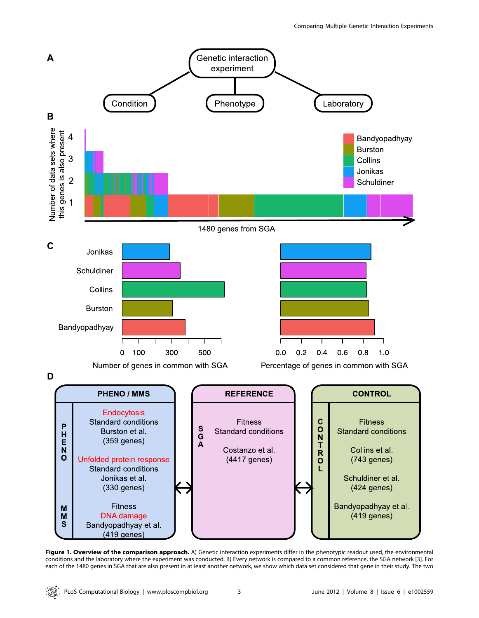

Figure 1. Overview of the comparison approach. A) Genetic interaction experiments differ in the phenotypic readout used, the environmental conditions and the laboratory where the experiment was conducted. B) Every network is compared to a common reference, the SGA network [3]. For each of the 1480 genes in SGA that are also present in at least another network, we show which data set considered that gene in their study. The two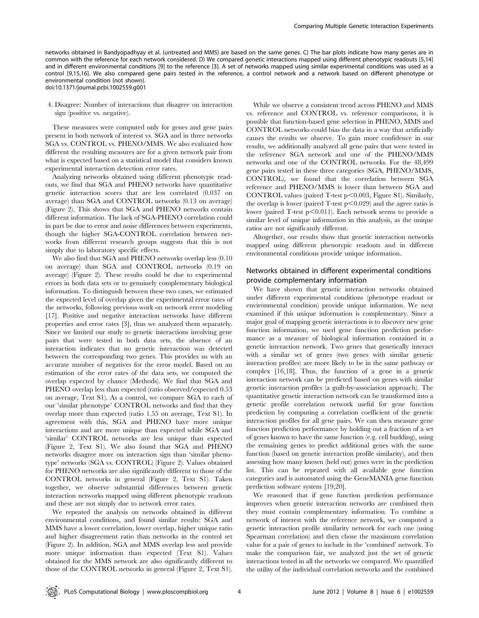networks obtained in Bandyopadhyay et al. (untreated and MMS) are based on the same genes. C) The bar plots indicate how many genes are in common with the reference for each network considered. D) We compared genetic interactions mapped using different phenotypic readouts [5,14] and in different environmental conditions [9] to the reference [3]. A set of networks mapped using similar experimental conditions was used as a control [9,15,16]. We also compared gene pairs tested in the reference, a control network and a network based on different phenotype or environmental condition (not shown). doi:10.1371/journal.pcbi.1002559.g001

4. Disagree: Number of interactions that disagree on interaction sign (positive vs. negative).

These measures were computed only for genes and gene pairs present in both network of interest vs. SGA and in three networks SGA vs. CONTROL vs. PHENO/MMS. We also evaluated how different the resulting measures are for a given network pair from what is expected based on a statistical model that considers known experimental interaction detection error rates.

Analyzing networks obtained using different phenotypic readouts, we find that SGA and PHENO networks have quantitative genetic interaction scores that are less correlated (0.037 on average) than SGA and CONTROL networks (0.13 on average) (Figure 2). This shows that SGA and PHENO networks contain different information. The lack of SGA-PHENO correlation could in part be due to error and noise differences between experiments, though the higher SGA-CONTROL correlation between networks from different research groups suggests that this is not simply due to laboratory specific effects.

We also find that SGA and PHENO networks overlap less (0.10 on average) than SGA and CONTROL networks (0.19 on average) (Figure 2). These results could be due to experimental errors in both data sets or to genuinely complementary biological information. To distinguish between these two cases, we estimated the expected level of overlap given the experimental error rates of the networks, following previous work on network error modeling [17]. Positive and negative interaction networks have different properties and error rates [3], thus we analyzed them separately. Since we limited our study to genetic interactions involving gene pairs that were tested in both data sets, the absence of an interaction indicates that no genetic interaction was detected between the corresponding two genes. This provides us with an accurate number of negatives for the error model. Based on an estimation of the error rates of the data sets, we computed the overlap expected by chance (Methods). We find that SGA and PHENO overlap less than expected (ratio observed/expected 0.53 on average, Text S1). As a control, we compare SGA to each of our 'similar phenotype' CONTROL networks and find that they overlap more than expected (ratio 1.55 on average, Text S1). In agreement with this, SGA and PHENO have more unique interactions and are more unique than expected while SGA and 'similar' CONTROL networks are less unique than expected (Figure 2, Text S1). We also found that SGA and PHENO networks disagree more on interaction sign than 'similar phenotype' networks (SGA vs. CONTROL) (Figure 2). Values obtained for PHENO networks are also significantly different to those of the CONTROL networks in general (Figure 2, Text S1). Taken together, we observe substantial differences between genetic interaction networks mapped using different phenotypic readouts and these are not simply due to network error rates.

We repeated the analysis on networks obtained in different environmental conditions, and found similar results: SGA and MMS have a lower correlation, lower overlap, higher unique ratio and higher disagreement ratio than networks in the control set (Figure 2). In addition, SGA and MMS overlap less and provide more unique information than expected (Text S1). Values obtained for the MMS network are also significantly different to those of the CONTROL networks in general (Figure 2, Text S1).

While we observe a consistent trend across PHENO and MMS vs. reference and CONTROL vs. reference comparisons, it is possible that function-based gene selection in PHENO, MMS and CONTROL networks could bias the data in a way that artificially causes the results we observe. To gain more confidence in our results, we additionally analyzed all gene pairs that were tested in the reference SGA network and one of the PHENO/MMS networks and one of the CONTROL networks. For the 48,499 gene pairs tested in these three categories (SGA, PHENO/MMS, CONTROL), we found that the correlation between SGA reference and PHENO/MMS is lower than between SGA and CONTROL values (paired T-test  $p<0.003$ , Figure S1). Similarly, the overlap is lower (paired T-test  $p<0.029$ ) and the agree ratio is lower (paired T-test  $p<0.011$ ). Each network seems to provide a similar level of unique information in this analysis, as the unique ratios are not significantly different.

Altogether, our results show that genetic interaction networks mapped using different phenotypic readouts and in different environmental conditions provide unique information.

## Networks obtained in different experimental conditions provide complementary information

We have shown that genetic interaction networks obtained under different experimental conditions (phenotype readout or environmental condition) provide unique information. We next examined if this unique information is complementary. Since a major goal of mapping genetic interactions is to discover new gene function information, we used gene function prediction performance as a measure of biological information contained in a genetic interaction network. Two genes that genetically interact with a similar set of genes (two genes with similar genetic interaction profiles) are more likely to be in the same pathway or complex [16,18]. Thus, the function of a gene in a genetic interaction network can be predicted based on genes with similar genetic interaction profiles (a guilt-by-association approach). The quantitative genetic interaction network can be transformed into a genetic profile correlation network useful for gene function prediction by computing a correlation coefficient of the genetic interaction profiles for all gene pairs. We can then measure gene function prediction performance by holding out a fraction of a set of genes known to have the same function (e.g. cell budding), using the remaining genes to predict additional genes with the same function (based on genetic interaction profile similarity), and then assessing how many known (held out) genes were in the prediction list. This can be repeated with all available gene function categories and is automated using the GeneMANIA gene function prediction software system [19,20].

We reasoned that if gene function prediction performance improves when genetic interaction networks are combined then they must contain complementary information. To combine a network of interest with the reference network, we computed a genetic interaction profile similarity network for each one (using Spearman correlation) and then chose the maximum correlation value for a pair of genes to include in the 'combined' network. To make the comparison fair, we analyzed just the set of genetic interactions tested in all the networks we compared. We quantified the utility of the individual correlation networks and the combined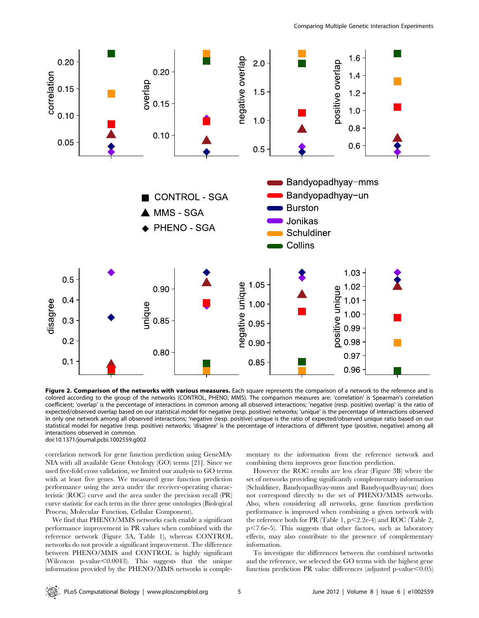

Figure 2. Comparison of the networks with various measures. Each square represents the comparison of a network to the reference and is colored according to the group of the networks (CONTROL, PHENO, MMS). The comparison measures are: 'correlation' is Spearman's correlation coefficient; 'overlap' is the percentage of interactions in common among all observed interactions; 'negative (resp. positive) overlap' is the ratio of expected/observed overlap based on our statistical model for negative (resp. positive) networks; 'unique' is the percentage of interactions observed in only one network among all observed interactions; 'negative (resp. positive) unique is the ratio of expected/observed unique ratio based on our statistical model for negative (resp. positive) networks; 'disagree' is the percentage of interactions of different type (positive, negative) among all interactions observed in common. doi:10.1371/journal.pcbi.1002559.g002

correlation network for gene function prediction using GeneMA-NIA with all available Gene Ontology (GO) terms [21]. Since we used five-fold cross validation, we limited our analysis to GO terms with at least five genes. We measured gene function prediction performance using the area under the receiver-operating characteristic (ROC) curve and the area under the precision recall (PR) curve statistic for each term in the three gene ontologies (Biological Process, Molecular Function, Cellular Component).

We find that PHENO/MMS networks each enable a significant performance improvement in PR values when combined with the reference network (Figure 3A, Table 1), whereas CONTROL networks do not provide a significant improvement. The difference between PHENO/MMS and CONTROL is highly significant (Wilcoxon p-value $< 0.0043$ ). This suggests that the unique information provided by the PHENO/MMS networks is complementary to the information from the reference network and combining them improves gene function prediction.

However the ROC results are less clear (Figure 3B) where the set of networks providing significantly complementary information (Schuldiner, Bandyopadhyay-mms and Bandyopadhyay-un) does not correspond directly to the set of PHENO/MMS networks. Also, when considering all networks, gene function prediction performance is improved when combining a given network with the reference both for PR (Table 1,  $p<2.2e-4$ ) and ROC (Table 2, p<7.6e-5). This suggests that other factors, such as laboratory effects, may also contribute to the presence of complementary information.

To investigate the differences between the combined networks and the reference, we selected the GO terms with the highest gene function prediction PR value differences (adjusted p-value $<$ 0.05)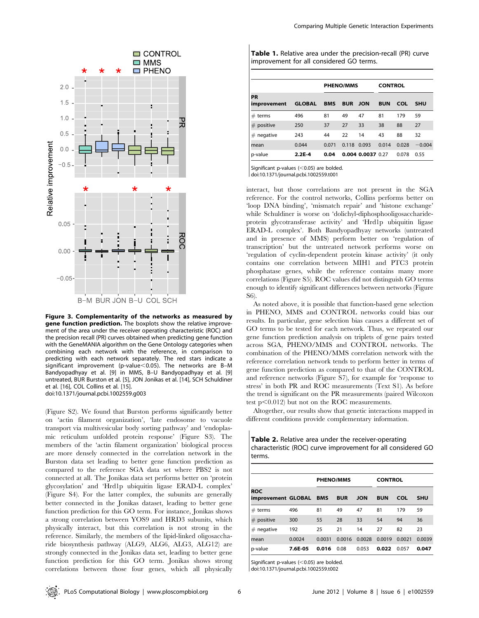

Figure 3. Complementarity of the networks as measured by gene function prediction. The boxplots show the relative improvement of the area under the receiver operating characteristic (ROC) and the precision recall (PR) curves obtained when predicting gene function with the GeneMANIA algorithm on the Gene Ontology categories when combining each network with the reference, in comparison to predicting with each network separately. The red stars indicate a significant improvement (p-value<0.05). The networks are B–M Bandyopadhyay et al. [9] in MMS, B–U Bandyopadhyay et al. [9] untreated, BUR Burston et al. [5], JON Jonikas et al. [14], SCH Schuldiner et al. [16], COL Collins et al. [15]. doi:10.1371/journal.pcbi.1002559.g003

(Figure S2). We found that Burston performs significantly better on 'actin filament organization', 'late endosome to vacuole transport via multivesicular body sorting pathway' and 'endoplasmic reticulum unfolded protein response' (Figure S3). The members of the 'actin filament organization' biological process are more densely connected in the correlation network in the Burston data set leading to better gene function prediction as compared to the reference SGA data set where PBS2 is not connected at all. The Jonikas data set performs better on 'protein glycosylation' and 'Hrd1p ubiquitin ligase ERAD-L complex' (Figure S4). For the latter complex, the subunits are generally better connected in the Jonikas dataset, leading to better gene function prediction for this GO term. For instance, Jonikas shows a strong correlation between YOS9 and HRD3 subunits, which physically interact, but this correlation is not strong in the reference. Similarly, the members of the lipid-linked oligosaccharide biosynthesis pathway (ALG9, ALG6, ALG3, ALG12) are strongly connected in the Jonikas data set, leading to better gene function prediction for this GO term. Jonikas shows strong correlations between those four genes, which all physically

| <b>Table 1.</b> Relative area under the precision-recall (PR) curve |  |
|---------------------------------------------------------------------|--|
| improvement for all considered GO terms.                            |  |

|                          |               | <b>PHENO/MMS</b> |            |                   | <b>CONTROL</b> |            |            |  |
|--------------------------|---------------|------------------|------------|-------------------|----------------|------------|------------|--|
| <b>PR</b><br>improvement | <b>GLOBAL</b> | <b>BMS</b>       | <b>BUR</b> | <b>JON</b>        | <b>BUN</b>     | <b>COL</b> | <b>SHU</b> |  |
| #<br>terms               | 496           | 81               | 49         | 47                | 81             | 179        | 59         |  |
| positive<br>#            | 250           | 37               | 27         | 33                | 38             | 88         | 27         |  |
| #<br>negative            | 243           | 44               | 22         | 14                | 43             | 88         | 32         |  |
| mean                     | 0.044         | 0.071            | 0.118      | 0.093             | 0.014          | 0.028      | $-0.004$   |  |
| p-value                  | $2.2E-4$      | 0.04             |            | 0.004 0.0037 0.27 |                | 0.078      | 0.55       |  |

Significant p-values  $(<0.05)$  are bolded. doi:10.1371/journal.pcbi.1002559.t001

interact, but those correlations are not present in the SGA reference. For the control networks, Collins performs better on 'loop DNA binding', 'mismatch repair' and 'histone exchange' while Schuldiner is worse on 'dolichyl-diphosphooligosaccharideprotein glycotransferase activity' and 'Hrd1p ubiquitin ligase ERAD-L complex'. Both Bandyopadhyay networks (untreated and in presence of MMS) perform better on 'regulation of transcription' but the untreated network performs worse on 'regulation of cyclin-dependent protein kinase activity' (it only contains one correlation between MIH1 and PTC3 protein phosphatase genes, while the reference contains many more correlations (Figure S5). ROC values did not distinguish GO terms enough to identify significant differences between networks (Figure S6).

As noted above, it is possible that function-based gene selection in PHENO, MMS and CONTROL networks could bias our results. In particular, gene selection bias causes a different set of GO terms to be tested for each network. Thus, we repeated our gene function prediction analysis on triplets of gene pairs tested across SGA, PHENO/MMS and CONTROL networks. The combination of the PHENO/MMS correlation network with the reference correlation network tends to perform better in terms of gene function prediction as compared to that of the CONTROL and reference networks (Figure S7), for example for 'response to stress' in both PR and ROC measurements (Text S1). As before the trend is significant on the PR measurements (paired Wilcoxon test  $p<0.012$ ) but not on the ROC measurements.

Altogether, our results show that genetic interactions mapped in different conditions provide complementary information.

Table 2. Relative area under the receiver-operating characteristic (ROC) curve improvement for all considered GO terms.

|                                  |         | <b>PHENO/MMS</b> |            |            | <b>CONTROL</b> |            |            |  |
|----------------------------------|---------|------------------|------------|------------|----------------|------------|------------|--|
| <b>ROC</b><br>improvement GLOBAL |         | <b>BMS</b>       | <b>BUR</b> | <b>JON</b> | <b>BUN</b>     | <b>COL</b> | <b>SHU</b> |  |
| #<br>terms                       | 496     | 81               | 49         | 47         | 81             | 179        | 59         |  |
| positive<br>#                    | 300     | 55               | 28         | 33         | 54             | 94         | 36         |  |
| #<br>negative                    | 192     | 25               | 21         | 14         | 27             | 82         | 23         |  |
| mean                             | 0.0024  | 0.0031           | 0.0016     | 0.0028     | 0.0019         | 0.0021     | 0.0039     |  |
| p-value                          | 7.6E-05 | 0.016            | 0.08       | 0.053      | 0.022          | 0.057      | 0.047      |  |

Significant p-values  $(<0.05)$  are bolded. doi:10.1371/journal.pcbi.1002559.t002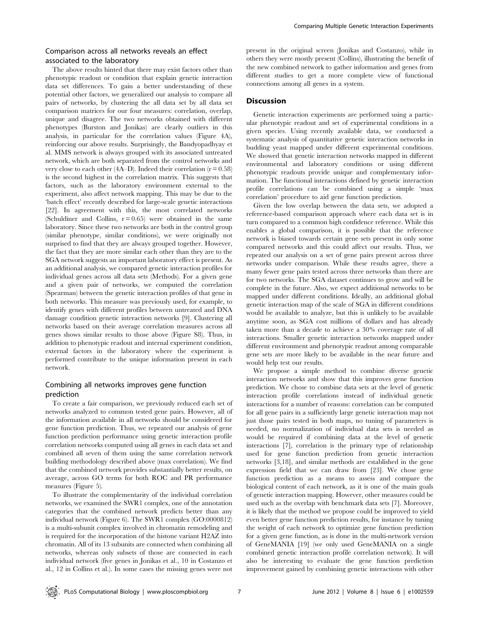## associated to the laboratory

The above results hinted that there may exist factors other than phenotypic readout or condition that explain genetic interaction data set differences. To gain a better understanding of these potential other factors, we generalized our analysis to compare all pairs of networks, by clustering the all data set by all data set comparison matrices for our four measures: correlation, overlap, unique and disagree. The two networks obtained with different phenotypes (Burston and Jonikas) are clearly outliers in this analysis, in particular for the correlation values (Figure 4A), reinforcing our above results. Surprisingly, the Bandyopadhyay et al. MMS network is always grouped with its associated untreated network, which are both separated from the control networks and very close to each other (4A–D). Indeed their correlation  $(r = 0.58)$ is the second highest in the correlation matrix. This suggests that factors, such as the laboratory environment external to the experiment, also affect network mapping. This may be due to the 'batch effect' recently described for large-scale genetic interactions [22]. In agreement with this, the most correlated networks (Schuldiner and Collins,  $r = 0.65$ ) were obtained in the same laboratory. Since these two networks are both in the control group (similar phenotype, similar conditions), we were originally not surprised to find that they are always grouped together. However, the fact that they are more similar each other than they are to the SGA network suggests an important laboratory effect is present. As an additional analysis, we compared genetic interaction profiles for individual genes across all data sets (Methods). For a given gene and a given pair of networks, we computed the correlation (Spearman) between the genetic interaction profiles of that gene in both networks. This measure was previously used, for example, to identify genes with different profiles between untreated and DNA damage condition genetic interaction networks [9]. Clustering all networks based on their average correlation measures across all genes shows similar results to those above (Figure S8). Thus, in addition to phenotypic readout and internal experiment condition, external factors in the laboratory where the experiment is performed contribute to the unique information present in each network.

## Combining all networks improves gene function prediction

To create a fair comparison, we previously reduced each set of networks analyzed to common tested gene pairs. However, all of the information available in all networks should be considered for gene function prediction. Thus, we repeated our analysis of gene function prediction performance using genetic interaction profile correlation networks computed using all genes in each data set and combined all seven of them using the same correlation network building methodology described above (max correlation). We find that the combined network provides substantially better results, on average, across GO terms for both ROC and PR performance measures (Figure 5).

To illustrate the complementarity of the individual correlation networks, we examined the SWR1 complex, one of the annotation categories that the combined network predicts better than any individual network (Figure 6). The SWR1 complex (GO:0000812) is a multi-subunit complex involved in chromatin remodeling and is required for the incorporation of the histone variant H2AZ into chromatin. All of its 13 subunits are connected when combining all networks, whereas only subsets of those are connected in each individual network (five genes in Jonikas et al., 10 in Costanzo et al., 12 in Collins et al.). In some cases the missing genes were not present in the original screen (Jonikas and Costanzo), while in others they were mostly present (Collins), illustrating the benefit of the new combined network to gather information and genes from different studies to get a more complete view of functional connections among all genes in a system.

## **Discussion**

Genetic interaction experiments are performed using a particular phenotypic readout and set of experimental conditions in a given species. Using recently available data, we conducted a systematic analysis of quantitative genetic interaction networks in budding yeast mapped under different experimental conditions. We showed that genetic interaction networks mapped in different environmental and laboratory conditions or using different phenotypic readouts provide unique and complementary information. The functional interactions defined by genetic interaction profile correlations can be combined using a simple 'max correlation' procedure to aid gene function prediction.

Given the low overlap between the data sets, we adopted a reference-based comparison approach where each data set is in turn compared to a common high confidence reference. While this enables a global comparison, it is possible that the reference network is biased towards certain gene sets present in only some compared networks and this could affect our results. Thus, we repeated our analysis on a set of gene pairs present across three networks under comparison. While these results agree, there a many fewer gene pairs tested across three networks than there are for two networks. The SGA dataset continues to grow and will be complete in the future. Also, we expect additional networks to be mapped under different conditions. Ideally, an additional global genetic interaction map of the scale of SGA in different conditions would be available to analyze, but this is unlikely to be available anytime soon, as SGA cost millions of dollars and has already taken more than a decade to achieve a 30% coverage rate of all interactions. Smaller genetic interaction networks mapped under different environment and phenotypic readout among comparable gene sets are more likely to be available in the near future and would help test our results.

We propose a simple method to combine diverse genetic interaction networks and show that this improves gene function prediction. We chose to combine data sets at the level of genetic interaction profile correlations instead of individual genetic interactions for a number of reasons: correlation can be computed for all gene pairs in a sufficiently large genetic interaction map not just those pairs tested in both maps, no tuning of parameters is needed, no normalization of individual data sets is needed as would be required if combining data at the level of genetic interactions [7], correlation is the primary type of relationship used for gene function prediction from genetic interaction networks [3,18], and similar methods are established in the gene expression field that we can draw from [23]. We chose gene function prediction as a means to assess and compare the biological content of each network, as it is one of the main goals of genetic interaction mapping. However, other measures could be used such as the overlap with benchmark data sets [7]. Moreover, it is likely that the method we propose could be improved to yield even better gene function prediction results, for instance by tuning the weight of each network to optimize gene function prediction for a given gene function, as is done in the multi-network version of GeneMANIA [19] (we only used GeneMANIA on a single combined genetic interaction profile correlation network). It will also be interesting to evaluate the gene function prediction improvement gained by combining genetic interactions with other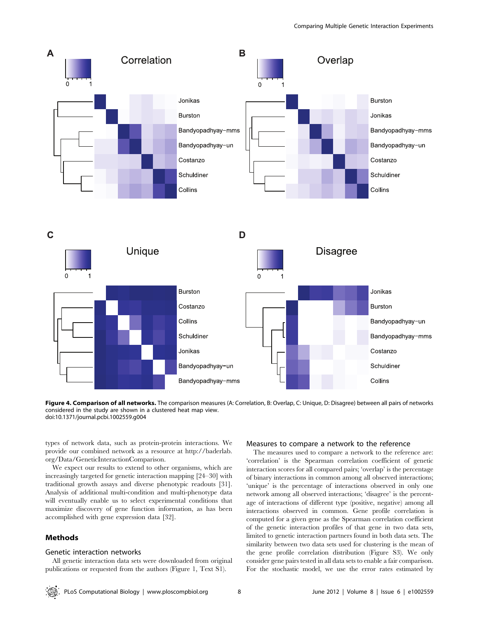



types of network data, such as protein-protein interactions. We provide our combined network as a resource at http://baderlab. org/Data/GeneticInteractionComparison.

We expect our results to extend to other organisms, which are increasingly targeted for genetic interaction mapping [24–30] with traditional growth assays and diverse phenotypic readouts [31]. Analysis of additional multi-condition and multi-phenotype data will eventually enable us to select experimental conditions that maximize discovery of gene function information, as has been accomplished with gene expression data [32].

## Methods

#### Genetic interaction networks

All genetic interaction data sets were downloaded from original publications or requested from the authors (Figure 1, Text S1).

#### Measures to compare a network to the reference

The measures used to compare a network to the reference are: 'correlation' is the Spearman correlation coefficient of genetic interaction scores for all compared pairs; 'overlap' is the percentage of binary interactions in common among all observed interactions; 'unique' is the percentage of interactions observed in only one network among all observed interactions; 'disagree' is the percentage of interactions of different type (positive, negative) among all interactions observed in common. Gene profile correlation is computed for a given gene as the Spearman correlation coefficient of the genetic interaction profiles of that gene in two data sets, limited to genetic interaction partners found in both data sets. The similarity between two data sets used for clustering is the mean of the gene profile correlation distribution (Figure S3). We only consider gene pairs tested in all data sets to enable a fair comparison. For the stochastic model, we use the error rates estimated by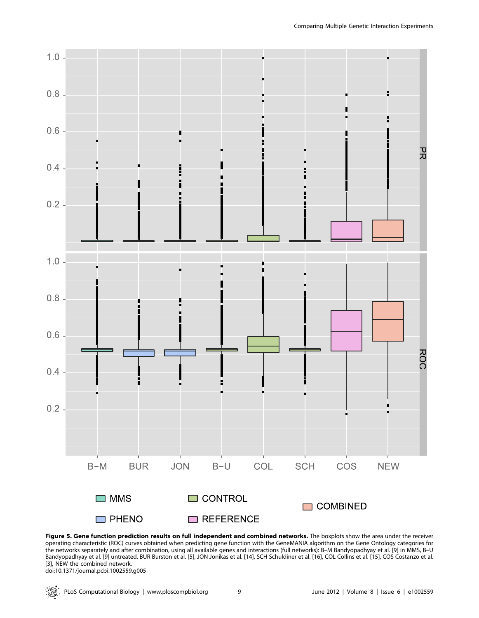

Figure 5. Gene function prediction results on full independent and combined networks. The boxplots show the area under the receiver operating characteristic (ROC) curves obtained when predicting gene function with the GeneMANIA algorithm on the Gene Ontology categories for the networks separately and after combination, using all available genes and interactions (full networks): B–M Bandyopadhyay et al. [9] in MMS, B–U Bandyopadhyay et al. [9] untreated, BUR Burston et al. [5], JON Jonikas et al. [14], SCH Schuldiner et al. [16], COL Collins et al. [15], COS Costanzo et al. [3], NEW the combined network. doi:10.1371/journal.pcbi.1002559.g005

 $\mathbb{R}$  PLoS Computational Biology | www.ploscompbiol.org 9 9 June 2012 | Volume 8 | Issue 6 | e1002559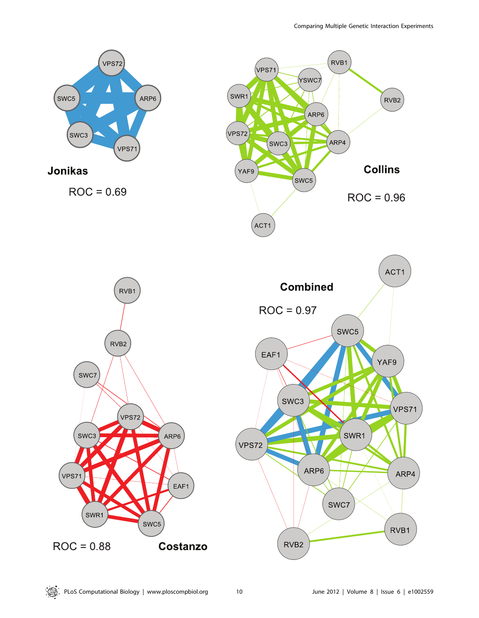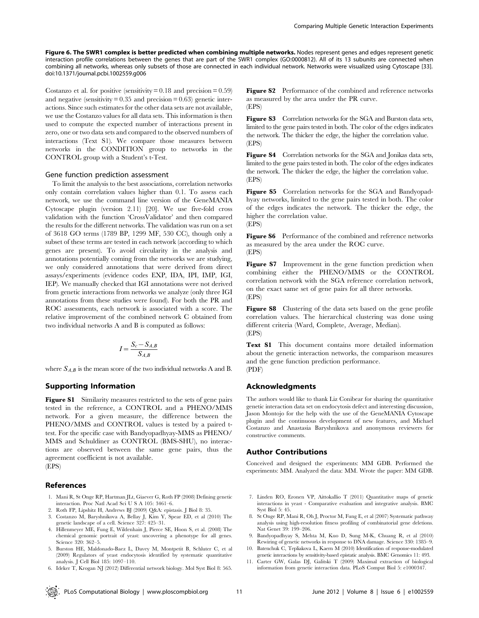Figure 6. The SWR1 complex is better predicted when combining multiple networks. Nodes represent genes and edges represent genetic interaction profile correlations between the genes that are part of the SWR1 complex (GO:0000812). All of its 13 subunits are connected when combining all networks, whereas only subsets of those are connected in each individual network. Networks were visualized using Cytoscape [33]. doi:10.1371/journal.pcbi.1002559.g006

Costanzo et al. for positive (sensitivity  $= 0.18$  and precision  $= 0.59$ ) and negative (sensitivity  $= 0.35$  and precision  $= 0.63$ ) genetic interactions. Since such estimates for the other data sets are not available, we use the Costanzo values for all data sets. This information is then used to compute the expected number of interactions present in zero, one or two data sets and compared to the observed numbers of interactions (Text S1). We compare those measures between networks in the CONDITION group to networks in the CONTROL group with a Student's t-Test.

#### Gene function prediction assessment

To limit the analysis to the best associations, correlation networks only contain correlation values higher than 0.1. To assess each network, we use the command line version of the GeneMANIA Cytoscape plugin (version 2.11) [20]. We use five-fold cross validation with the function 'CrossValidator' and then compared the results for the different networks. The validation was run on a set of 3618 GO terms (1789 BP, 1299 MF, 530 CC), though only a subset of these terms are tested in each network (according to which genes are present). To avoid circularity in the analysis and annotations potentially coming from the networks we are studying, we only considered annotations that were derived from direct assays/experiments (evidence codes EXP, IDA, IPI, IMP, IGI, IEP). We manually checked that IGI annotations were not derived from genetic interactions from networks we analyze (only three IGI annotations from these studies were found). For both the PR and ROC assessments, each network is associated with a score. The relative improvement of the combined network C obtained from two individual networks A and B is computed as follows:

$$
I = \frac{S_c - S_{A,B}}{S_{A,B}}
$$

where  $S_{A,B}$  is the mean score of the two individual networks A and B.

#### Supporting Information

Figure S1 Similarity measures restricted to the sets of gene pairs tested in the reference, a CONTROL and a PHENO/MMS network. For a given measure, the difference between the PHENO/MMS and CONTROL values is tested by a paired ttest. For the specific case with Bandyopadhyay-MMS as PHENO/ MMS and Schuldiner as CONTROL (BMS-SHU), no interactions are observed between the same gene pairs, thus the agreement coefficient is not available.

(EPS)

#### References

- 1. Mani R, St Onge RP, Hartman JLt, Giaever G, Roth FP (2008) Defining genetic interaction. Proc Natl Acad Sci U S A 105: 3461–6.
- 2. Roth FP, Lipshitz H, Andrews BJ (2009) Q&A: epistasis. J Biol 8: 35.
- 3. Costanzo M, Baryshnikova A, Bellay J, Kim Y, Spear ED, et al (2010) The genetic landscape of a cell. Science 327: 425–31.
- 4. Hillenmeyer ME, Fung E, Wildenhain J, Pierce SE, Hoon S, et al. (2008) The chemical genomic portrait of yeast: uncovering a phenotype for all genes. Science 320: 362–5.
- 5. Burston HE, Maldonado-Baez L, Davey M, Montpetit B, Schluter C, et al (2009) Regulators of yeast endocytosis identified by systematic quantitative analysis. J Cell Biol 185: 1097–110.
- 6. Ideker T, Krogan NJ (2012) Differential network biology. Mol Syst Biol 8: 565.

Figure S2 Performance of the combined and reference networks as measured by the area under the PR curve. (EPS)

Figure S3 Correlation networks for the SGA and Burston data sets, limited to the gene pairs tested in both. The color of the edges indicates the network. The thicker the edge, the higher the correlation value. (EPS)

Figure S4 Correlation networks for the SGA and Jonikas data sets, limited to the gene pairs tested in both. The color of the edges indicates the network. The thicker the edge, the higher the correlation value. (EPS)

Figure S5 Correlation networks for the SGA and Bandyopadhyay networks, limited to the gene pairs tested in both. The color of the edges indicates the network. The thicker the edge, the higher the correlation value. (EPS)

Figure S6 Performance of the combined and reference networks as measured by the area under the ROC curve. (EPS)

Figure S7 Improvement in the gene function prediction when combining either the PHENO/MMS or the CONTROL correlation network with the SGA reference correlation network, on the exact same set of gene pairs for all three networks. (EPS)

Figure S8 Clustering of the data sets based on the gene profile correlation values. The hierarchical clustering was done using different criteria (Ward, Complete, Average, Median). (EPS)

Text S1 This document contains more detailed information about the genetic interaction networks, the comparison measures and the gene function prediction performance. (PDF)

#### Acknowledgments

The authors would like to thank Liz Conibear for sharing the quantitative genetic interaction data set on endocytosis defect and interesting discussion, Jason Montojo for the help with the use of the GeneMANIA Cytoscape plugin and the continuous development of new features, and Michael Costanzo and Anastasia Baryshnikova and anonymous reviewers for constructive comments.

### Author Contributions

Conceived and designed the experiments: MM GDB. Performed the experiments: MM. Analyzed the data: MM. Wrote the paper: MM GDB.

- 7. Linden RO, Eronen VP, Aittokallio T (2011) Quantitative maps of genetic interactions in yeast - Comparative evaluation and integrative analysis. BMC Syst Biol 5: 45.
- 8. St Onge RP, Mani R, Oh J, Proctor M, Fung E, et al (2007) Systematic pathway analysis using high-resolution fitness profiling of combinatorial gene deletions. Nat Genet 39: 199–206.
- 9. Bandyopadhyay S, Mehta M, Kuo D, Sung M-K, Chuang R, et al (2010) Rewiring of genetic networks in response to DNA damage. Science 330: 1385–9. 10. Batenchuk C, Tepliakova L, Kaern M (2010) Identification of response-modulated
- genetic interactions by sensitivity-based epistatic analysis. BMC Genomics 11: 493.
- 11. Carter GW, Galas DJ, Galitski T (2009) Maximal extraction of biological information from genetic interaction data. PLoS Comput Biol 5: e1000347.